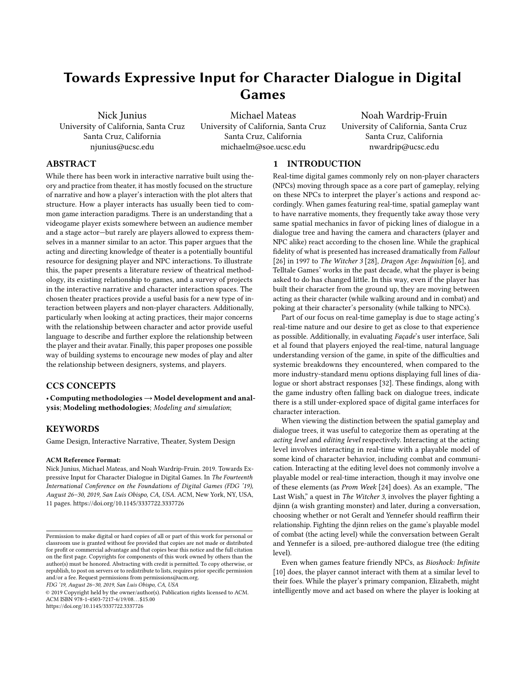# Towards Expressive Input for Character Dialogue in Digital Games

Nick Junius University of California, Santa Cruz Santa Cruz, California njunius@ucsc.edu

Michael Mateas University of California, Santa Cruz Santa Cruz, California michaelm@soe.ucsc.edu

Noah Wardrip-Fruin University of California, Santa Cruz Santa Cruz, California nwardrip@ucsc.edu

## ABSTRACT

While there has been work in interactive narrative built using theory and practice from theater, it has mostly focused on the structure of narrative and how a player's interaction with the plot alters that structure. How a player interacts has usually been tied to common game interaction paradigms. There is an understanding that a videogame player exists somewhere between an audience member and a stage actor—but rarely are players allowed to express themselves in a manner similar to an actor. This paper argues that the acting and directing knowledge of theater is a potentially bountiful resource for designing player and NPC interactions. To illustrate this, the paper presents a literature review of theatrical methodology, its existing relationship to games, and a survey of projects in the interactive narrative and character interaction spaces. The chosen theater practices provide a useful basis for a new type of interaction between players and non-player characters. Additionally, particularly when looking at acting practices, their major concerns with the relationship between character and actor provide useful language to describe and further explore the relationship between the player and their avatar. Finally, this paper proposes one possible way of building systems to encourage new modes of play and alter the relationship between designers, systems, and players.

## CCS CONCEPTS

• Computing methodologies→Model development and analysis; Modeling methodologies; Modeling and simulation;

#### **KEYWORDS**

Game Design, Interactive Narrative, Theater, System Design

#### ACM Reference Format:

Nick Junius, Michael Mateas, and Noah Wardrip-Fruin. 2019. Towards Expressive Input for Character Dialogue in Digital Games. In The Fourteenth International Conference on the Foundations of Digital Games (FDG '19), August 26–30, 2019, San Luis Obispo, CA, USA. ACM, New York, NY, USA, [11](#page-10-0) pages.<https://doi.org/10.1145/3337722.3337726>

FDG '19, August 26–30, 2019, San Luis Obispo, CA, USA

© 2019 Copyright held by the owner/author(s). Publication rights licensed to ACM. ACM ISBN 978-1-4503-7217-6/19/08. . . \$15.00 <https://doi.org/10.1145/3337722.3337726>

## 1 INTRODUCTION

Real-time digital games commonly rely on non-player characters (NPCs) moving through space as a core part of gameplay, relying on these NPCs to interpret the player's actions and respond accordingly. When games featuring real-time, spatial gameplay want to have narrative moments, they frequently take away those very same spatial mechanics in favor of picking lines of dialogue in a dialogue tree and having the camera and characters (player and NPC alike) react according to the chosen line. While the graphical fidelity of what is presented has increased dramatically from Fallout [\[26\]](#page-10-1) in 1997 to *The Witcher 3* [\[28\]](#page-10-2), *Dragon Age: Inquisition* [\[6\]](#page-10-3), and Telltale Games' works in the past decade, what the player is being asked to do has changed little. In this way, even if the player has built their character from the ground up, they are moving between acting as their character (while walking around and in combat) and poking at their character's personality (while talking to NPCs).

Part of our focus on real-time gameplay is due to stage acting's real-time nature and our desire to get as close to that experience as possible. Additionally, in evaluating Façade's user interface, Sali et al found that players enjoyed the real-time, natural language understanding version of the game, in spite of the difficulties and systemic breakdowns they encountered, when compared to the more industry-standard menu options displaying full lines of dialogue or short abstract responses [\[32\]](#page-10-4). These findings, along with the game industry often falling back on dialogue trees, indicate there is a still under-explored space of digital game interfaces for character interaction.

When viewing the distinction between the spatial gameplay and dialogue trees, it was useful to categorize them as operating at the acting level and editing level respectively. Interacting at the acting level involves interacting in real-time with a playable model of some kind of character behavior, including combat and communication. Interacting at the editing level does not commonly involve a playable model or real-time interaction, though it may involve one of these elements (as Prom Week [\[24\]](#page-10-5) does). As an example, "The Last Wish," a quest in The Witcher 3, involves the player fighting a djinn (a wish granting monster) and later, during a conversation, choosing whether or not Geralt and Yennefer should reaffirm their relationship. Fighting the djinn relies on the game's playable model of combat (the acting level) while the conversation between Geralt and Yennefer is a siloed, pre-authored dialogue tree (the editing level).

Even when games feature friendly NPCs, as Bioshock: Infinite [\[10\]](#page-10-6) does, the player cannot interact with them at a similar level to their foes. While the player's primary companion, Elizabeth, might intelligently move and act based on where the player is looking at

Permission to make digital or hard copies of all or part of this work for personal or classroom use is granted without fee provided that copies are not made or distributed for profit or commercial advantage and that copies bear this notice and the full citation on the first page. Copyrights for components of this work owned by others than the author(s) must be honored. Abstracting with credit is permitted. To copy otherwise, or republish, to post on servers or to redistribute to lists, requires prior specific permission and/or a fee. Request permissions from permissions@acm.org.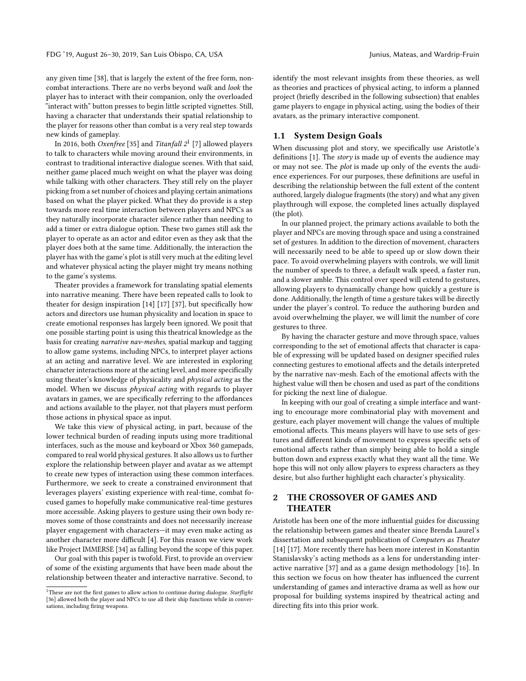FDG '19, August 26–30, 2019, San Luis Obispo, CA, USA Junius, Mateas, and Wardrip-Fruin

any given time [\[38\]](#page-10-7), that is largely the extent of the free form, noncombat interactions. There are no verbs beyond walk and look the player has to interact with their companion, only the overloaded "interact with" button presses to begin little scripted vignettes. Still, having a character that understands their spatial relationship to the player for reasons other than combat is a very real step towards new kinds of gameplay.

In 2016, both Oxenfree [\[35\]](#page-10-8) and Titanfall  $2^1$  $2^1$  [\[7\]](#page-10-9) allowed players to talk to characters while moving around their environments, in contrast to traditional interactive dialogue scenes. With that said, neither game placed much weight on what the player was doing while talking with other characters. They still rely on the player picking from a set number of choices and playing certain animations based on what the player picked. What they do provide is a step towards more real time interaction between players and NPCs as they naturally incorporate character silence rather than needing to add a timer or extra dialogue option. These two games still ask the player to operate as an actor and editor even as they ask that the player does both at the same time. Additionally, the interaction the player has with the game's plot is still very much at the editing level and whatever physical acting the player might try means nothing to the game's systems.

Theater provides a framework for translating spatial elements into narrative meaning. There have been repeated calls to look to theater for design inspiration [\[14\]](#page-10-10) [\[17\]](#page-10-11) [\[37\]](#page-10-12), but specifically how actors and directors use human physicality and location in space to create emotional responses has largely been ignored. We posit that one possible starting point is using this theatrical knowledge as the basis for creating narrative nav-meshes, spatial markup and tagging to allow game systems, including NPCs, to interpret player actions at an acting and narrative level. We are interested in exploring character interactions more at the acting level, and more specifically using theater's knowledge of physicality and physical acting as the model. When we discuss physical acting with regards to player avatars in games, we are specifically referring to the affordances and actions available to the player, not that players must perform those actions in physical space as input.

We take this view of physical acting, in part, because of the lower technical burden of reading inputs using more traditional interfaces, such as the mouse and keyboard or Xbox 360 gamepads, compared to real world physical gestures. It also allows us to further explore the relationship between player and avatar as we attempt to create new types of interaction using these common interfaces. Furthermore, we seek to create a constrained environment that leverages players' existing experience with real-time, combat focused games to hopefully make communicative real-time gestures more accessible. Asking players to gesture using their own body removes some of those constraints and does not necessarily increase player engagement with characters—it may even make acting as another character more difficult [\[4\]](#page-10-13). For this reason we view work like Project IMMERSE [\[34\]](#page-10-14) as falling beyond the scope of this paper.

Our goal with this paper is twofold. First, to provide an overview of some of the existing arguments that have been made about the relationship between theater and interactive narrative. Second, to identify the most relevant insights from these theories, as well as theories and practices of physical acting, to inform a planned project (briefly described in the following subsection) that enables game players to engage in physical acting, using the bodies of their avatars, as the primary interactive component.

#### 1.1 System Design Goals

When discussing plot and story, we specifically use Aristotle's definitions [\[1\]](#page-10-16). The story is made up of events the audience may or may not see. The plot is made up only of the events the audience experiences. For our purposes, these definitions are useful in describing the relationship between the full extent of the content authored, largely dialogue fragments (the story) and what any given playthrough will expose, the completed lines actually displayed (the plot).

In our planned project, the primary actions available to both the player and NPCs are moving through space and using a constrained set of gestures. In addition to the direction of movement, characters will necessarily need to be able to speed up or slow down their pace. To avoid overwhelming players with controls, we will limit the number of speeds to three, a default walk speed, a faster run, and a slower amble. This control over speed will extend to gestures, allowing players to dynamically change how quickly a gesture is done. Additionally, the length of time a gesture takes will be directly under the player's control. To reduce the authoring burden and avoid overwhelming the player, we will limit the number of core gestures to three.

By having the character gesture and move through space, values corresponding to the set of emotional affects that character is capable of expressing will be updated based on designer specified rules connecting gestures to emotional affects and the details interpreted by the narrative nav-mesh. Each of the emotional affects with the highest value will then be chosen and used as part of the conditions for picking the next line of dialogue.

In keeping with our goal of creating a simple interface and wanting to encourage more combinatorial play with movement and gesture, each player movement will change the values of multiple emotional affects. This means players will have to use sets of gestures and different kinds of movement to express specific sets of emotional affects rather than simply being able to hold a single button down and express exactly what they want all the time. We hope this will not only allow players to express characters as they desire, but also further highlight each character's physicality.

# 2 THE CROSSOVER OF GAMES AND THEATER

Aristotle has been one of the more influential guides for discussing the relationship between games and theater since Brenda Laurel's dissertation and subsequent publication of Computers as Theater [\[14\]](#page-10-10) [\[17\]](#page-10-11). More recently there has been more interest in Konstantin Stanislavsky's acting methods as a lens for understanding interactive narrative [\[37\]](#page-10-12) and as a game design methodology [\[16\]](#page-10-17). In this section we focus on how theater has influenced the current understanding of games and interactive drama as well as how our proposal for building systems inspired by theatrical acting and directing fits into this prior work.

<span id="page-1-0"></span><sup>&</sup>lt;sup>1</sup>These are not the first games to allow action to continue during dialogue. Starflight [\[36\]](#page-10-15) allowed both the player and NPCs to use all their ship functions while in conversations, including firing weapons.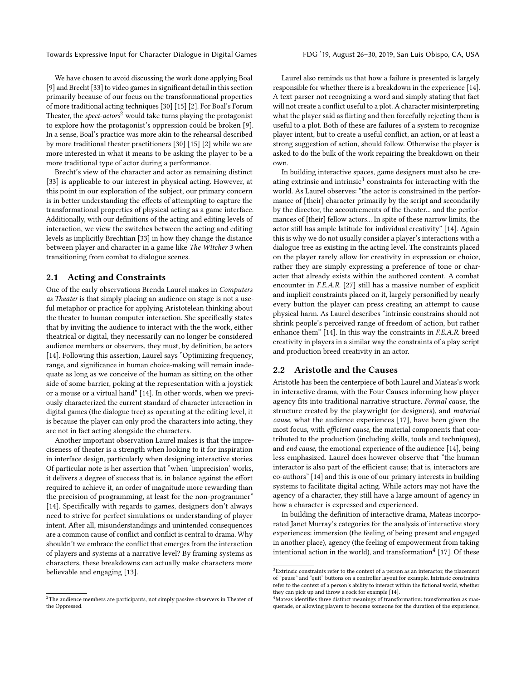We have chosen to avoid discussing the work done applying Boal [\[9\]](#page-10-18) and Brecht [\[33\]](#page-10-19) to video games in significant detail in this section primarily because of our focus on the transformational properties of more traditional acting techniques [\[30\]](#page-10-20) [\[15\]](#page-10-21) [\[2\]](#page-10-22). For Boal's Forum Theater, the *spect-actors*<sup>[2](#page-2-0)</sup> would take turns playing the protagonist to explore how the protagonist's oppression could be broken [\[9\]](#page-10-18). In a sense, Boal's practice was more akin to the rehearsal described by more traditional theater practitioners [\[30\]](#page-10-20) [\[15\]](#page-10-21) [\[2\]](#page-10-22) while we are more interested in what it means to be asking the player to be a more traditional type of actor during a performance.

Brecht's view of the character and actor as remaining distinct [\[33\]](#page-10-19) is applicable to our interest in physical acting. However, at this point in our exploration of the subject, our primary concern is in better understanding the effects of attempting to capture the transformational properties of physical acting as a game interface. Additionally, with our definitions of the acting and editing levels of interaction, we view the switches between the acting and editing levels as implicitly Brechtian [\[33\]](#page-10-19) in how they change the distance between player and character in a game like The Witcher 3 when transitioning from combat to dialogue scenes.

## 2.1 Acting and Constraints

One of the early observations Brenda Laurel makes in Computers as Theater is that simply placing an audience on stage is not a useful metaphor or practice for applying Aristotelean thinking about the theater to human computer interaction. She specifically states that by inviting the audience to interact with the the work, either theatrical or digital, they necessarily can no longer be considered audience members or observers, they must, by definition, be actors [\[14\]](#page-10-10). Following this assertion, Laurel says "Optimizing frequency, range, and significance in human choice-making will remain inadequate as long as we conceive of the human as sitting on the other side of some barrier, poking at the representation with a joystick or a mouse or a virtual hand" [\[14\]](#page-10-10). In other words, when we previously characterized the current standard of character interaction in digital games (the dialogue tree) as operating at the editing level, it is because the player can only prod the characters into acting, they are not in fact acting alongside the characters.

Another important observation Laurel makes is that the impreciseness of theater is a strength when looking to it for inspiration in interface design, particularly when designing interactive stories. Of particular note is her assertion that "when 'imprecision' works, it delivers a degree of success that is, in balance against the effort required to achieve it, an order of magnitude more rewarding than the precision of programming, at least for the non-programmer" [\[14\]](#page-10-10). Specifically with regards to games, designers don't always need to strive for perfect simulations or understanding of player intent. After all, misunderstandings and unintended consequences are a common cause of conflict and conflict is central to drama. Why shouldn't we embrace the conflict that emerges from the interaction of players and systems at a narrative level? By framing systems as characters, these breakdowns can actually make characters more believable and engaging [\[13\]](#page-10-23).

Laurel also reminds us that how a failure is presented is largely responsible for whether there is a breakdown in the experience [\[14\]](#page-10-10). A text parser not recognizing a word and simply stating that fact will not create a conflict useful to a plot. A character misinterpreting what the player said as flirting and then forcefully rejecting them is useful to a plot. Both of these are failures of a system to recognize player intent, but to create a useful conflict, an action, or at least a strong suggestion of action, should follow. Otherwise the player is asked to do the bulk of the work repairing the breakdown on their own.

In building interactive spaces, game designers must also be creating extrinsic and intrinsic $3$  constraints for interacting with the world. As Laurel observes: "the actor is constrained in the performance of [their] character primarily by the script and secondarily by the director, the accoutrements of the theater... and the performances of [their] fellow actors... In spite of these narrow limits, the actor still has ample latitude for individual creativity" [\[14\]](#page-10-10). Again this is why we do not usually consider a player's interactions with a dialogue tree as existing in the acting level. The constraints placed on the player rarely allow for creativity in expression or choice, rather they are simply expressing a preference of tone or character that already exists within the authored content. A combat encounter in F.E.A.R. [\[27\]](#page-10-24) still has a massive number of explicit and implicit constraints placed on it, largely personified by nearly every button the player can press creating an attempt to cause physical harm. As Laurel describes "intrinsic constrains should not shrink people's perceived range of freedom of action, but rather enhance them" [\[14\]](#page-10-10). In this way the constraints in F.E.A.R. breed creativity in players in a similar way the constraints of a play script and production breed creativity in an actor.

# 2.2 Aristotle and the Causes

Aristotle has been the centerpiece of both Laurel and Mateas's work in interactive drama, with the Four Causes informing how player agency fits into traditional narrative structure. Formal cause, the structure created by the playwright (or designers), and material cause, what the audience experiences [\[17\]](#page-10-11), have been given the most focus, with efficient cause, the material components that contributed to the production (including skills, tools and techniques), and end cause, the emotional experience of the audience [\[14\]](#page-10-10), being less emphasized. Laurel does however observe that "the human interactor is also part of the efficient cause; that is, interactors are co-authors" [\[14\]](#page-10-10) and this is one of our primary interests in building systems to facilitate digital acting. While actors may not have the agency of a character, they still have a large amount of agency in how a character is expressed and experienced.

In building the definition of interactive drama, Mateas incorporated Janet Murray's categories for the analysis of interactive story experiences: immersion (the feeling of being present and engaged in another place), agency (the feeling of empowerment from taking intentional action in the world), and transformation $^4$  $^4$  [\[17\]](#page-10-11). Of these

<span id="page-2-0"></span> $^2\!$  The audience members are participants, not simply passive observers in Theater of the Oppressed.

<span id="page-2-1"></span> ${}^{3}$ Extrinsic constraints refer to the context of a person as an interactor, the placement of "pause" and "quit" buttons on a controller layout for example. Intrinsic constraints refer to the context of a person's ability to interact within the fictional world, whether they can pick up and throw a rock for example [\[14\]](#page-10-10).

<span id="page-2-2"></span><sup>&</sup>lt;sup>4</sup>Mateas identifies three distinct meanings of transformation: transformation as masquerade, or allowing players to become someone for the duration of the experience;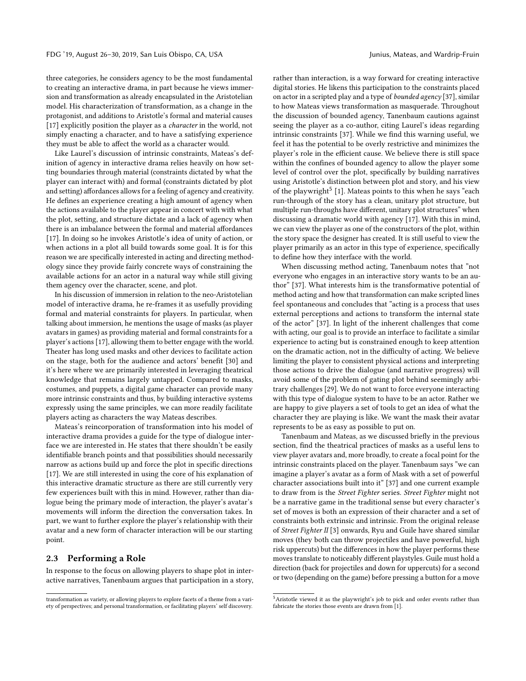three categories, he considers agency to be the most fundamental to creating an interactive drama, in part because he views immersion and transformation as already encapsulated in the Aristotelian model. His characterization of transformation, as a change in the protagonist, and additions to Aristotle's formal and material causes [\[17\]](#page-10-11) explicitly position the player as a *character* in the world, not simply enacting a character, and to have a satisfying experience they must be able to affect the world as a character would.

Like Laurel's discussion of intrinsic constraints, Mateas's definition of agency in interactive drama relies heavily on how setting boundaries through material (constraints dictated by what the player can interact with) and formal (constraints dictated by plot and setting) affordances allows for a feeling of agency and creativity. He defines an experience creating a high amount of agency when the actions available to the player appear in concert with with what the plot, setting, and structure dictate and a lack of agency when there is an imbalance between the formal and material affordances [\[17\]](#page-10-11). In doing so he invokes Aristotle's idea of unity of action, or when actions in a plot all build towards some goal. It is for this reason we are specifically interested in acting and directing methodology since they provide fairly concrete ways of constraining the available actions for an actor in a natural way while still giving them agency over the character, scene, and plot.

In his discussion of immersion in relation to the neo-Aristotelian model of interactive drama, he re-frames it as usefully providing formal and material constraints for players. In particular, when talking about immersion, he mentions the usage of masks (as player avatars in games) as providing material and formal constraints for a player's actions [\[17\]](#page-10-11), allowing them to better engage with the world. Theater has long used masks and other devices to facilitate action on the stage, both for the audience and actors' benefit [\[30\]](#page-10-20) and it's here where we are primarily interested in leveraging theatrical knowledge that remains largely untapped. Compared to masks, costumes, and puppets, a digital game character can provide many more intrinsic constraints and thus, by building interactive systems expressly using the same principles, we can more readily facilitate players acting as characters the way Mateas describes.

Mateas's reincorporation of transformation into his model of interactive drama provides a guide for the type of dialogue interface we are interested in. He states that there shouldn't be easily identifiable branch points and that possibilities should necessarily narrow as actions build up and force the plot in specific directions [\[17\]](#page-10-11). We are still interested in using the core of his explanation of this interactive dramatic structure as there are still currently very few experiences built with this in mind. However, rather than dialogue being the primary mode of interaction, the player's avatar's movements will inform the direction the conversation takes. In part, we want to further explore the player's relationship with their avatar and a new form of character interaction will be our starting point.

# 2.3 Performing a Role

In response to the focus on allowing players to shape plot in interactive narratives, Tanenbaum argues that participation in a story, rather than interaction, is a way forward for creating interactive digital stories. He likens this participation to the constraints placed on actor in a scripted play and a type of bounded agency [\[37\]](#page-10-12), similar to how Mateas views transformation as masquerade. Throughout the discussion of bounded agency, Tanenbaum cautions against seeing the player as a co-author, citing Laurel's ideas regarding intrinsic constraints [\[37\]](#page-10-12). While we find this warning useful, we feel it has the potential to be overly restrictive and minimizes the player's role in the efficient cause. We believe there is still space within the confines of bounded agency to allow the player some level of control over the plot, specifically by building narratives using Aristotle's distinction between plot and story, and his view of the playwright<sup>[5](#page-3-0)</sup> [\[1\]](#page-10-16). Mateas points to this when he says "each run-through of the story has a clean, unitary plot structure, but multiple run-throughs have different, unitary plot structures" when discussing a dramatic world with agency [\[17\]](#page-10-11). With this in mind, we can view the player as one of the constructors of the plot, within the story space the designer has created. It is still useful to view the player primarily as an actor in this type of experience, specifically to define how they interface with the world.

When discussing method acting, Tanenbaum notes that "not everyone who engages in an interactive story wants to be an author" [\[37\]](#page-10-12). What interests him is the transformative potential of method acting and how that transformation can make scripted lines feel spontaneous and concludes that "acting is a process that uses external perceptions and actions to transform the internal state of the actor" [\[37\]](#page-10-12). In light of the inherent challenges that come with acting, our goal is to provide an interface to facilitate a similar experience to acting but is constrained enough to keep attention on the dramatic action, not in the difficulty of acting. We believe limiting the player to consistent physical actions and interpreting those actions to drive the dialogue (and narrative progress) will avoid some of the problem of gating plot behind seemingly arbitrary challenges [\[29\]](#page-10-25). We do not want to force everyone interacting with this type of dialogue system to have to be an actor. Rather we are happy to give players a set of tools to get an idea of what the character they are playing is like. We want the mask their avatar represents to be as easy as possible to put on.

Tanenbaum and Mateas, as we discussed briefly in the previous section, find the theatrical practices of masks as a useful lens to view player avatars and, more broadly, to create a focal point for the intrinsic constraints placed on the player. Tanenbaum says "we can imagine a player's avatar as a form of Mask with a set of powerful character associations built into it" [\[37\]](#page-10-12) and one current example to draw from is the Street Fighter series. Street Fighter might not be a narrative game in the traditional sense but every character's set of moves is both an expression of their character and a set of constraints both extrinsic and intrinsic. From the original release of Street Fighter II [\[3\]](#page-10-26) onwards, Ryu and Guile have shared similar moves (they both can throw projectiles and have powerful, high risk uppercuts) but the differences in how the player performs these moves translate to noticeably different playstyles. Guile must hold a direction (back for projectiles and down for uppercuts) for a second or two (depending on the game) before pressing a button for a move

transformation as variety, or allowing players to explore facets of a theme from a variety of perspectives; and personal transformation, or facilitating players' self discovery.

<span id="page-3-0"></span><sup>5</sup>Aristotle viewed it as the playwright's job to pick and order events rather than fabricate the stories those events are drawn from [\[1\]](#page-10-16).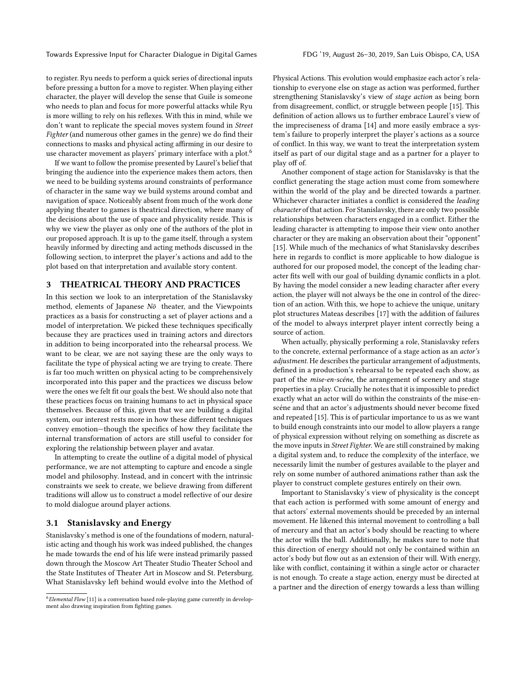to register. Ryu needs to perform a quick series of directional inputs before pressing a button for a move to register. When playing either character, the player will develop the sense that Guile is someone who needs to plan and focus for more powerful attacks while Ryu is more willing to rely on his reflexes. With this in mind, while we don't want to replicate the special moves system found in Street Fighter (and numerous other games in the genre) we do find their connections to masks and physical acting affirming in our desire to use character movement as players' primary interface with a plot.<sup>[6](#page-4-0)</sup>

If we want to follow the promise presented by Laurel's belief that bringing the audience into the experience makes them actors, then we need to be building systems around constraints of performance of character in the same way we build systems around combat and navigation of space. Noticeably absent from much of the work done applying theater to games is theatrical direction, where many of the decisions about the use of space and physicality reside. This is why we view the player as only one of the authors of the plot in our proposed approach. It is up to the game itself, through a system heavily informed by directing and acting methods discussed in the following section, to interpret the player's actions and add to the plot based on that interpretation and available story content.

# 3 THEATRICAL THEORY AND PRACTICES

In this section we look to an interpretation of the Stanislavsky method, elements of Japanese  $N\bar{o}$  theater, and the Viewpoints practices as a basis for constructing a set of player actions and a model of interpretation. We picked these techniques specifically because they are practices used in training actors and directors in addition to being incorporated into the rehearsal process. We want to be clear, we are not saying these are the only ways to facilitate the type of physical acting we are trying to create. There is far too much written on physical acting to be comprehensively incorporated into this paper and the practices we discuss below were the ones we felt fit our goals the best. We should also note that these practices focus on training humans to act in physical space themselves. Because of this, given that we are building a digital system, our interest rests more in how these different techniques convey emotion—though the specifics of how they facilitate the internal transformation of actors are still useful to consider for exploring the relationship between player and avatar.

In attempting to create the outline of a digital model of physical performance, we are not attempting to capture and encode a single model and philosophy. Instead, and in concert with the intrinsic constraints we seek to create, we believe drawing from different traditions will allow us to construct a model reflective of our desire to mold dialogue around player actions.

## 3.1 Stanislavsky and Energy

Stanislavsky's method is one of the foundations of modern, naturalistic acting and though his work was indeed published, the changes he made towards the end of his life were instead primarily passed down through the Moscow Art Theater Studio Theater School and the State Institutes of Theater Art in Moscow and St. Petersburg. What Stanislavsky left behind would evolve into the Method of

Physical Actions. This evolution would emphasize each actor's relationship to everyone else on stage as action was performed, further strengthening Stanislavsky's view of stage action as being born from disagreement, conflict, or struggle between people [\[15\]](#page-10-21). This definition of action allows us to further embrace Laurel's view of the impreciseness of drama [\[14\]](#page-10-10) and more easily embrace a system's failure to properly interpret the player's actions as a source of conflict. In this way, we want to treat the interpretation system itself as part of our digital stage and as a partner for a player to play off of.

Another component of stage action for Stanislavsky is that the conflict generating the stage action must come from somewhere within the world of the play and be directed towards a partner. Whichever character initiates a conflict is considered the leading character of that action. For Stanislavsky, there are only two possible relationships between characters engaged in a conflict. Either the leading character is attempting to impose their view onto another character or they are making an observation about their "opponent" [\[15\]](#page-10-21). While much of the mechanics of what Stanislavsky describes here in regards to conflict is more applicable to how dialogue is authored for our proposed model, the concept of the leading character fits well with our goal of building dynamic conflicts in a plot. By having the model consider a new leading character after every action, the player will not always be the one in control of the direction of an action. With this, we hope to achieve the unique, unitary plot structures Mateas describes [\[17\]](#page-10-11) with the addition of failures of the model to always interpret player intent correctly being a source of action.

When actually, physically performing a role, Stanislavsky refers to the concrete, external performance of a stage action as an actor's adjustment. He describes the particular arrangement of adjustments, defined in a production's rehearsal to be repeated each show, as part of the mise-en-scéne, the arrangement of scenery and stage properties in a play. Crucially he notes that it is impossible to predict exactly what an actor will do within the constraints of the mise-enscéne and that an actor's adjustments should never become fixed and repeated [\[15\]](#page-10-21). This is of particular importance to us as we want to build enough constraints into our model to allow players a range of physical expression without relying on something as discrete as the move inputs in Street Fighter. We are still constrained by making a digital system and, to reduce the complexity of the interface, we necessarily limit the number of gestures available to the player and rely on some number of authored animations rather than ask the player to construct complete gestures entirely on their own.

Important to Stanislavsky's view of physicality is the concept that each action is performed with some amount of energy and that actors' external movements should be preceded by an internal movement. He likened this internal movement to controlling a ball of mercury and that an actor's body should be reacting to where the actor wills the ball. Additionally, he makes sure to note that this direction of energy should not only be contained within an actor's body but flow out as an extension of their will. With energy, like with conflict, containing it within a single actor or character is not enough. To create a stage action, energy must be directed at a partner and the direction of energy towards a less than willing

<span id="page-4-0"></span> $6$ Elemental Flow [\[11\]](#page-10-27) is a conversation based role-playing game currently in development also drawing inspiration from fighting games.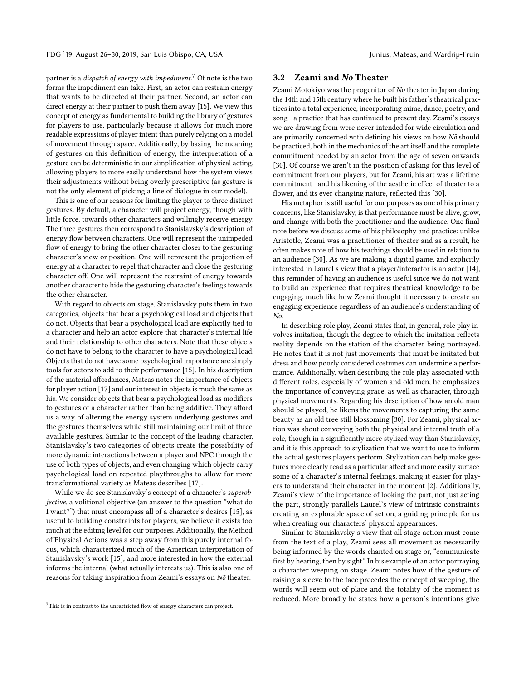partner is a dispatch of energy with impediment.<sup>[7](#page-5-0)</sup> Of note is the two forms the impediment can take. First, an actor can restrain energy that wants to be directed at their partner. Second, an actor can direct energy at their partner to push them away [\[15\]](#page-10-21). We view this concept of energy as fundamental to building the library of gestures for players to use, particularly because it allows for much more readable expressions of player intent than purely relying on a model of movement through space. Additionally, by basing the meaning of gestures on this definition of energy, the interpretation of a gesture can be deterministic in our simplification of physical acting, allowing players to more easily understand how the system views their adjustments without being overly prescriptive (as gesture is not the only element of picking a line of dialogue in our model).

This is one of our reasons for limiting the player to three distinct gestures. By default, a character will project energy, though with little force, towards other characters and willingly receive energy. The three gestures then correspond to Stanislavsky's description of energy flow between characters. One will represent the unimpeded flow of energy to bring the other character closer to the gesturing character's view or position. One will represent the projection of energy at a character to repel that character and close the gesturing character off. One will represent the restraint of energy towards another character to hide the gesturing character's feelings towards the other character.

With regard to objects on stage, Stanislavsky puts them in two categories, objects that bear a psychological load and objects that do not. Objects that bear a psychological load are explicitly tied to a character and help an actor explore that character's internal life and their relationship to other characters. Note that these objects do not have to belong to the character to have a psychological load. Objects that do not have some psychological importance are simply tools for actors to add to their performance [\[15\]](#page-10-21). In his description of the material affordances, Mateas notes the importance of objects for player action [\[17\]](#page-10-11) and our interest in objects is much the same as his. We consider objects that bear a psychological load as modifiers to gestures of a character rather than being additive. They afford us a way of altering the energy system underlying gestures and the gestures themselves while still maintaining our limit of three available gestures. Similar to the concept of the leading character, Stanislavsky's two categories of objects create the possibility of more dynamic interactions between a player and NPC through the use of both types of objects, and even changing which objects carry psychological load on repeated playthroughs to allow for more transformational variety as Mateas describes [\[17\]](#page-10-11).

While we do see Stanislavsky's concept of a character's superobjective, a volitional objective (an answer to the question "what do I want?") that must encompass all of a character's desires [\[15\]](#page-10-21), as useful to building constraints for players, we believe it exists too much at the editing level for our purposes. Additionally, the Method of Physical Actions was a step away from this purely internal focus, which characterized much of the American interpretation of Stanislavsky's work [\[15\]](#page-10-21), and more interested in how the external informs the internal (what actually interests us). This is also one of reasons for taking inspiration from Zeami's essays on  $N\bar{o}$  theater.

#### 3.2 Zeami and  $N\bar{o}$  Theater

Zeami Motokiyo was the progenitor of  $N\bar{o}$  theater in Japan during the 14th and 15th century where he built his father's theatrical practices into a total experience, incorporating mime, dance, poetry, and song—a practice that has continued to present day. Zeami's essays we are drawing from were never intended for wide circulation and are primarily concerned with defining his views on how  $N\bar{o}$  should be practiced, both in the mechanics of the art itself and the complete commitment needed by an actor from the age of seven onwards [\[30\]](#page-10-20). Of course we aren't in the position of asking for this level of commitment from our players, but for Zeami, his art was a lifetime commitment—and his likening of the aesthetic effect of theater to a flower, and its ever changing nature, reflected this [\[30\]](#page-10-20).

His metaphor is still useful for our purposes as one of his primary concerns, like Stanislavsky, is that performance must be alive, grow, and change with both the practitioner and the audience. One final note before we discuss some of his philosophy and practice: unlike Aristotle, Zeami was a practitioner of theater and as a result, he often makes note of how his teachings should be used in relation to an audience [\[30\]](#page-10-20). As we are making a digital game, and explicitly interested in Laurel's view that a player/interactor is an actor [\[14\]](#page-10-10), this reminder of having an audience is useful since we do not want to build an experience that requires theatrical knowledge to be engaging, much like how Zeami thought it necessary to create an engaging experience regardless of an audience's understanding of  $N\bar{o}$ 

In describing role play, Zeami states that, in general, role play involves imitation, though the degree to which the imitation reflects reality depends on the station of the character being portrayed. He notes that it is not just movements that must be imitated but dress and how poorly considered costumes can undermine a performance. Additionally, when describing the role play associated with different roles, especially of women and old men, he emphasizes the importance of conveying grace, as well as character, through physical movements. Regarding his description of how an old man should be played, he likens the movements to capturing the same beauty as an old tree still blossoming [\[30\]](#page-10-20). For Zeami, physical action was about conveying both the physical and internal truth of a role, though in a significantly more stylized way than Stanislavsky, and it is this approach to stylization that we want to use to inform the actual gestures players perform. Stylization can help make gestures more clearly read as a particular affect and more easily surface some of a character's internal feelings, making it easier for players to understand their character in the moment [\[2\]](#page-10-22). Additionally, Zeami's view of the importance of looking the part, not just acting the part, strongly parallels Laurel's view of intrinsic constraints creating an explorable space of action, a guiding principle for us when creating our characters' physical appearances.

Similar to Stanislavsky's view that all stage action must come from the text of a play, Zeami sees all movement as necessarily being informed by the words chanted on stage or, "communicate first by hearing, then by sight." In his example of an actor portraying a character weeping on stage, Zeami notes how if the gesture of raising a sleeve to the face precedes the concept of weeping, the words will seem out of place and the totality of the moment is reduced. More broadly he states how a person's intentions give

<span id="page-5-0"></span><sup>&</sup>lt;sup>7</sup>This is in contrast to the unrestricted flow of energy characters can project.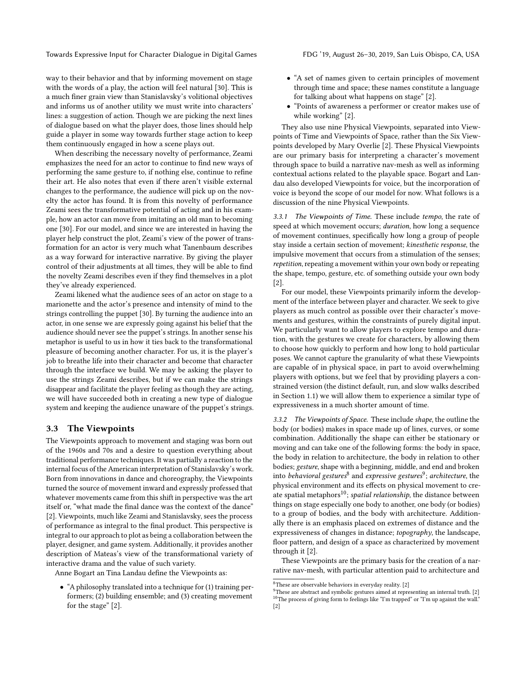way to their behavior and that by informing movement on stage with the words of a play, the action will feel natural [\[30\]](#page-10-20). This is a much finer grain view than Stanislavsky's volitional objectives and informs us of another utility we must write into characters' lines: a suggestion of action. Though we are picking the next lines of dialogue based on what the player does, those lines should help guide a player in some way towards further stage action to keep them continuously engaged in how a scene plays out.

When describing the necessary novelty of performance, Zeami emphasizes the need for an actor to continue to find new ways of performing the same gesture to, if nothing else, continue to refine their art. He also notes that even if there aren't visible external changes to the performance, the audience will pick up on the novelty the actor has found. It is from this novelty of performance Zeami sees the transformative potential of acting and in his example, how an actor can move from imitating an old man to becoming one [\[30\]](#page-10-20). For our model, and since we are interested in having the player help construct the plot, Zeami's view of the power of transformation for an actor is very much what Tanenbaum describes as a way forward for interactive narrative. By giving the player control of their adjustments at all times, they will be able to find the novelty Zeami describes even if they find themselves in a plot they've already experienced.

Zeami likened what the audience sees of an actor on stage to a marionette and the actor's presence and intensity of mind to the strings controlling the puppet [\[30\]](#page-10-20). By turning the audience into an actor, in one sense we are expressly going against his belief that the audience should never see the puppet's strings. In another sense his metaphor is useful to us in how it ties back to the transformational pleasure of becoming another character. For us, it is the player's job to breathe life into their character and become that character through the interface we build. We may be asking the player to use the strings Zeami describes, but if we can make the strings disappear and facilitate the player feeling as though they are acting, we will have succeeded both in creating a new type of dialogue system and keeping the audience unaware of the puppet's strings.

#### 3.3 The Viewpoints

The Viewpoints approach to movement and staging was born out of the 1960s and 70s and a desire to question everything about traditional performance techniques. It was partially a reaction to the internal focus of the American interpretation of Stanislavsky's work. Born from innovations in dance and choreography, the Viewpoints turned the source of movement inward and expressly professed that whatever movements came from this shift in perspective was the art itself or, "what made the final dance was the context of the dance" [\[2\]](#page-10-22). Viewpoints, much like Zeami and Stanislavsky, sees the process of performance as integral to the final product. This perspective is integral to our approach to plot as being a collaboration between the player, designer, and game system. Additionally, it provides another description of Mateas's view of the transformational variety of interactive drama and the value of such variety.

Anne Bogart an Tina Landau define the Viewpoints as:

• "A philosophy translated into a technique for (1) training performers; (2) building ensemble; and (3) creating movement for the stage" [\[2\]](#page-10-22).

- "A set of names given to certain principles of movement through time and space; these names constitute a language for talking about what happens on stage" [\[2\]](#page-10-22).
- "Points of awareness a performer or creator makes use of while working" [\[2\]](#page-10-22).

They also use nine Physical Viewpoints, separated into Viewpoints of Time and Viewpoints of Space, rather than the Six Viewpoints developed by Mary Overlie [\[2\]](#page-10-22). These Physical Viewpoints are our primary basis for interpreting a character's movement through space to build a narrative nav-mesh as well as informing contextual actions related to the playable space. Bogart and Landau also developed Viewpoints for voice, but the incorporation of voice is beyond the scope of our model for now. What follows is a discussion of the nine Physical Viewpoints.

3.3.1 The Viewpoints of Time. These include tempo, the rate of speed at which movement occurs; duration, how long a sequence of movement continues, specifically how long a group of people stay inside a certain section of movement; kinesthetic response, the impulsive movement that occurs from a stimulation of the senses; repetition, repeating a movement within your own body or repeating the shape, tempo, gesture, etc. of something outside your own body [\[2\]](#page-10-22).

For our model, these Viewpoints primarily inform the development of the interface between player and character. We seek to give players as much control as possible over their character's movements and gestures, within the constraints of purely digital input. We particularly want to allow players to explore tempo and duration, with the gestures we create for characters, by allowing them to choose how quickly to perform and how long to hold particular poses. We cannot capture the granularity of what these Viewpoints are capable of in physical space, in part to avoid overwhelming players with options, but we feel that by providing players a constrained version (the distinct default, run, and slow walks described in Section 1.1) we will allow them to experience a similar type of expressiveness in a much shorter amount of time.

3.3.2 The Viewpoints of Space. These include shape, the outline the body (or bodies) makes in space made up of lines, curves, or some combination. Additionally the shape can either be stationary or moving and can take one of the following forms: the body in space, the body in relation to architecture, the body in relation to other bodies; gesture, shape with a beginning, middle, and end and broken into behavioral gestures $^8$  $^8$  and expressive gestures $^9$  $^9$ ; architecture, the physical environment and its effects on physical movement to cre-ate spatial metaphors<sup>[10](#page-6-2)</sup>; spatial relationship, the distance between things on stage especially one body to another, one body (or bodies) to a group of bodies, and the body with architecture. Additionally there is an emphasis placed on extremes of distance and the expressiveness of changes in distance; topography, the landscape, floor pattern, and design of a space as characterized by movement through it [\[2\]](#page-10-22).

These Viewpoints are the primary basis for the creation of a narrative nav-mesh, with particular attention paid to architecture and

<span id="page-6-0"></span> $^8 \rm{These}$  are observable behaviors in everyday reality. [\[2\]](#page-10-22)

<span id="page-6-2"></span><span id="page-6-1"></span> $^9$  These are abstract and symbolic gestures aimed at representing an internal truth.  $\left[ 2\right]$ <sup>10</sup>The process of giving form to feelings like "I'm trapped" or "I'm up against the wall." [\[2\]](#page-10-22)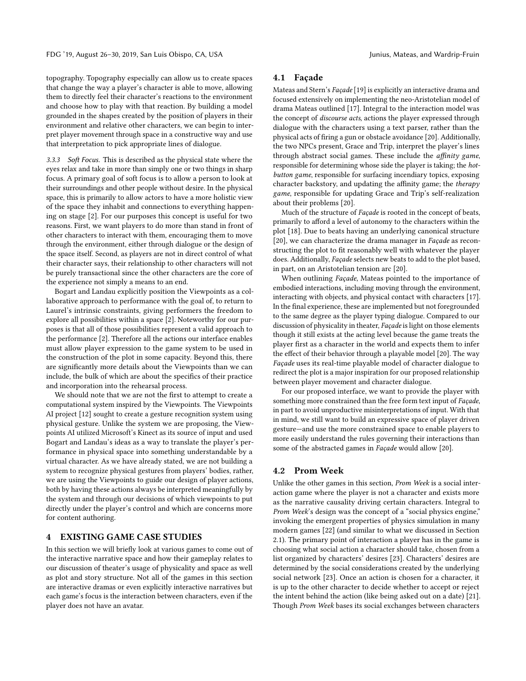topography. Topography especially can allow us to create spaces that change the way a player's character is able to move, allowing them to directly feel their character's reactions to the environment and choose how to play with that reaction. By building a model grounded in the shapes created by the position of players in their environment and relative other characters, we can begin to interpret player movement through space in a constructive way and use that interpretation to pick appropriate lines of dialogue.

3.3.3 Soft Focus. This is described as the physical state where the eyes relax and take in more than simply one or two things in sharp focus. A primary goal of soft focus is to allow a person to look at their surroundings and other people without desire. In the physical space, this is primarily to allow actors to have a more holistic view of the space they inhabit and connections to everything happening on stage [\[2\]](#page-10-22). For our purposes this concept is useful for two reasons. First, we want players to do more than stand in front of other characters to interact with them, encouraging them to move through the environment, either through dialogue or the design of the space itself. Second, as players are not in direct control of what their character says, their relationship to other characters will not be purely transactional since the other characters are the core of the experience not simply a means to an end.

Bogart and Landau explicitly position the Viewpoints as a collaborative approach to performance with the goal of, to return to Laurel's intrinsic constraints, giving performers the freedom to explore all possibilities within a space [\[2\]](#page-10-22). Noteworthy for our purposes is that all of those possibilities represent a valid approach to the performance [\[2\]](#page-10-22). Therefore all the actions our interface enables must allow player expression to the game system to be used in the construction of the plot in some capacity. Beyond this, there are significantly more details about the Viewpoints than we can include, the bulk of which are about the specifics of their practice and incorporation into the rehearsal process.

We should note that we are not the first to attempt to create a computational system inspired by the Viewpoints. The Viewpoints AI project [\[12\]](#page-10-28) sought to create a gesture recognition system using physical gesture. Unlike the system we are proposing, the Viewpoints AI utilized Microsoft's Kinect as its source of input and used Bogart and Landau's ideas as a way to translate the player's performance in physical space into something understandable by a virtual character. As we have already stated, we are not building a system to recognize physical gestures from players' bodies, rather, we are using the Viewpoints to guide our design of player actions, both by having these actions always be interpreted meaningfully by the system and through our decisions of which viewpoints to put directly under the player's control and which are concerns more for content authoring.

# 4 EXISTING GAME CASE STUDIES

In this section we will briefly look at various games to come out of the interactive narrative space and how their gameplay relates to our discussion of theater's usage of physicality and space as well as plot and story structure. Not all of the games in this section are interactive dramas or even explicitly interactive narratives but each game's focus is the interaction between characters, even if the player does not have an avatar.

## 4.1 Façade

Mateas and Stern's Façade [\[19\]](#page-10-29) is explicitly an interactive drama and focused extensively on implementing the neo-Aristotelian model of drama Mateas outlined [\[17\]](#page-10-11). Integral to the interaction model was the concept of *discourse acts*, actions the player expressed through dialogue with the characters using a text parser, rather than the physical acts of firing a gun or obstacle avoidance [\[20\]](#page-10-30). Additionally, the two NPCs present, Grace and Trip, interpret the player's lines through abstract social games. These include the affinity game, responsible for determining whose side the player is taking; the hotbutton game, responsible for surfacing incendiary topics, exposing character backstory, and updating the affinity game; the therapy game, responsible for updating Grace and Trip's self-realization about their problems [\[20\]](#page-10-30).

Much of the structure of Façade is rooted in the concept of beats, primarily to afford a level of autonomy to the characters within the plot [\[18\]](#page-10-31). Due to beats having an underlying canonical structure [\[20\]](#page-10-30), we can characterize the drama manager in Façade as reconstructing the plot to fit reasonably well with whatever the player does. Additionally, Façade selects new beats to add to the plot based, in part, on an Aristotelian tension arc [\[20\]](#page-10-30).

When outlining Façade, Mateas pointed to the importance of embodied interactions, including moving through the environment, interacting with objects, and physical contact with characters [\[17\]](#page-10-11). In the final experience, these are implemented but not foregrounded to the same degree as the player typing dialogue. Compared to our discussion of physicality in theater, Façade is light on those elements though it still exists at the acting level because the game treats the player first as a character in the world and expects them to infer the effect of their behavior through a playable model [\[20\]](#page-10-30). The way Façade uses its real-time playable model of character dialogue to redirect the plot is a major inspiration for our proposed relationship between player movement and character dialogue.

For our proposed interface, we want to provide the player with something more constrained than the free form text input of Façade, in part to avoid unproductive misinterpretations of input. With that in mind, we still want to build an expressive space of player driven gesture—and use the more constrained space to enable players to more easily understand the rules governing their interactions than some of the abstracted games in Façade would allow [\[20\]](#page-10-30).

#### 4.2 Prom Week

Unlike the other games in this section, Prom Week is a social interaction game where the player is not a character and exists more as the narrative causality driving certain characters. Integral to Prom Week's design was the concept of a "social physics engine," invoking the emergent properties of physics simulation in many modern games [\[22\]](#page-10-32) (and similar to what we discussed in Section 2.1). The primary point of interaction a player has in the game is choosing what social action a character should take, chosen from a list organized by characters' desires [\[23\]](#page-10-33). Characters' desires are determined by the social considerations created by the underlying social network [\[23\]](#page-10-33). Once an action is chosen for a character, it is up to the other character to decide whether to accept or reject the intent behind the action (like being asked out on a date) [\[21\]](#page-10-34). Though Prom Week bases its social exchanges between characters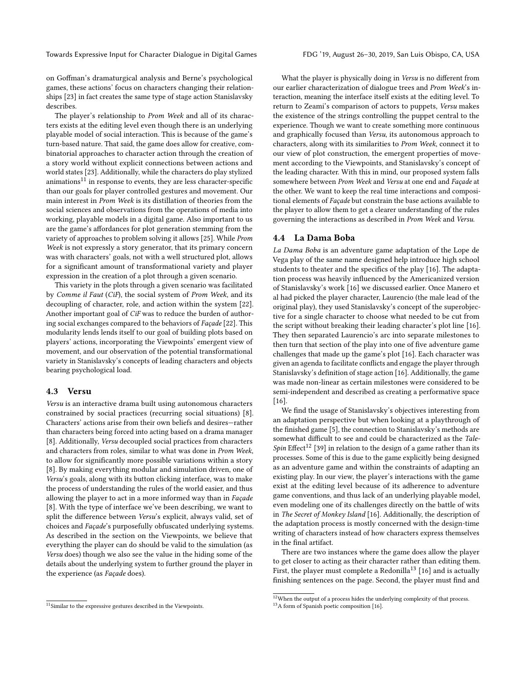on Goffman's dramaturgical analysis and Berne's psychological games, these actions' focus on characters changing their relationships [\[23\]](#page-10-33) in fact creates the same type of stage action Stanislavsky describes.

The player's relationship to Prom Week and all of its characters exists at the editing level even though there is an underlying playable model of social interaction. This is because of the game's turn-based nature. That said, the game does allow for creative, combinatorial approaches to character action through the creation of a story world without explicit connections between actions and world states [\[23\]](#page-10-33). Additionally, while the characters do play stylized animations<sup>[11](#page-8-0)</sup> in response to events, they are less character-specific than our goals for player controlled gestures and movement. Our main interest in Prom Week is its distillation of theories from the social sciences and observations from the operations of media into working, playable models in a digital game. Also important to us are the game's affordances for plot generation stemming from the variety of approaches to problem solving it allows [\[25\]](#page-10-35). While Prom Week is not expressly a story generator, that its primary concern was with characters' goals, not with a well structured plot, allows for a significant amount of transformational variety and player expression in the creation of a plot through a given scenario.

This variety in the plots through a given scenario was facilitated by Comme il Faut (CiF), the social system of Prom Week, and its decoupling of character, role, and action within the system [\[22\]](#page-10-32). Another important goal of CiF was to reduce the burden of authoring social exchanges compared to the behaviors of Façade [\[22\]](#page-10-32). This modularity lends lends itself to our goal of building plots based on players' actions, incorporating the Viewpoints' emergent view of movement, and our observation of the potential transformational variety in Stanislavsky's concepts of leading characters and objects bearing psychological load.

#### 4.3 Versu

Versu is an interactive drama built using autonomous characters constrained by social practices (recurring social situations) [\[8\]](#page-10-36). Characters' actions arise from their own beliefs and desires—rather than characters being forced into acting based on a drama manager [\[8\]](#page-10-36). Additionally, Versu decoupled social practices from characters and characters from roles, similar to what was done in Prom Week, to allow for significantly more possible variations within a story [\[8\]](#page-10-36). By making everything modular and simulation driven, one of Versu's goals, along with its button clicking interface, was to make the process of understanding the rules of the world easier, and thus allowing the player to act in a more informed way than in Façade [\[8\]](#page-10-36). With the type of interface we've been describing, we want to split the difference between Versu's explicit, always valid, set of choices and Façade's purposefully obfuscated underlying systems. As described in the section on the Viewpoints, we believe that everything the player can do should be valid to the simulation (as Versu does) though we also see the value in the hiding some of the details about the underlying system to further ground the player in the experience (as Façade does).

What the player is physically doing in Versu is no different from our earlier characterization of dialogue trees and Prom Week's interaction, meaning the interface itself exists at the editing level. To return to Zeami's comparison of actors to puppets, Versu makes the existence of the strings controlling the puppet central to the experience. Though we want to create something more continuous and graphically focused than Versu, its autonomous approach to characters, along with its similarities to Prom Week, connect it to our view of plot construction, the emergent properties of movement according to the Viewpoints, and Stanislavsky's concept of the leading character. With this in mind, our proposed system falls somewhere between Prom Week and Versu at one end and Façade at the other. We want to keep the real time interactions and compositional elements of Façade but constrain the base actions available to the player to allow them to get a clearer understanding of the rules governing the interactions as described in Prom Week and Versu.

## 4.4 La Dama Boba

La Dama Boba is an adventure game adaptation of the Lope de Vega play of the same name designed help introduce high school students to theater and the specifics of the play [\[16\]](#page-10-17). The adaptation process was heavily influenced by the Americanized version of Stanislavsky's work [\[16\]](#page-10-17) we discussed earlier. Once Manero et al had picked the player character, Laurencio (the male lead of the original play), they used Stanislavsky's concept of the superobjective for a single character to choose what needed to be cut from the script without breaking their leading character's plot line [\[16\]](#page-10-17). They then separated Laurencio's arc into separate milestones to then turn that section of the play into one of five adventure game challenges that made up the game's plot [\[16\]](#page-10-17). Each character was given an agenda to facilitate conflicts and engage the player through Stanislavsky's definition of stage action [\[16\]](#page-10-17). Additionally, the game was made non-linear as certain milestones were considered to be semi-independent and described as creating a performative space [\[16\]](#page-10-17).

We find the usage of Stanislavsky's objectives interesting from an adaptation perspective but when looking at a playthrough of the finished game [\[5\]](#page-10-37), the connection to Stanislavsky's methods are somewhat difficult to see and could be characterized as the Tale-Spin Effect<sup>[12](#page-8-1)</sup> [\[39\]](#page-10-38) in relation to the design of a game rather than its processes. Some of this is due to the game explicitly being designed as an adventure game and within the constraints of adapting an existing play. In our view, the player's interactions with the game exist at the editing level because of its adherence to adventure game conventions, and thus lack of an underlying playable model, even modeling one of its challenges directly on the battle of wits in The Secret of Monkey Island [\[16\]](#page-10-17). Additionally, the description of the adaptation process is mostly concerned with the design-time writing of characters instead of how characters express themselves in the final artifact.

There are two instances where the game does allow the player to get closer to acting as their character rather than editing them. First, the player must complete a Redonilla<sup>[13](#page-8-2)</sup> [\[16\]](#page-10-17) and is actually finishing sentences on the page. Second, the player must find and

<span id="page-8-0"></span><sup>&</sup>lt;sup>11</sup> Similar to the expressive gestures described in the Viewpoints.

<span id="page-8-1"></span> $12$ When the output of a process hides the underlying complexity of that process.

<span id="page-8-2"></span><sup>&</sup>lt;sup>13</sup>A form of Spanish poetic composition [\[16\]](#page-10-17).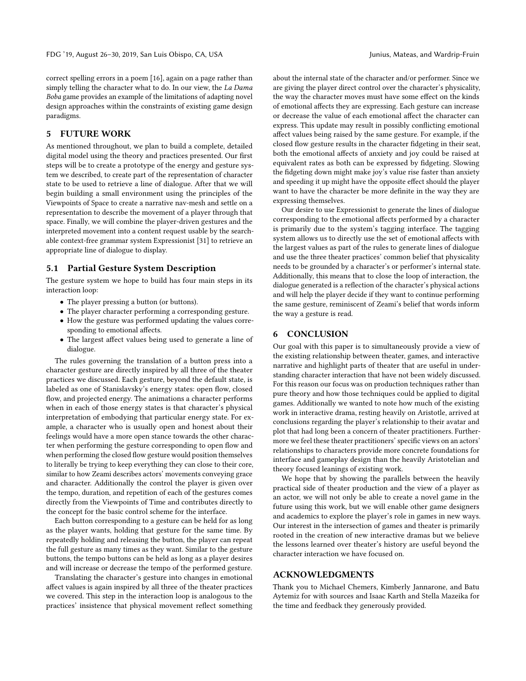correct spelling errors in a poem [\[16\]](#page-10-17), again on a page rather than simply telling the character what to do. In our view, the La Dama Boba game provides an example of the limitations of adapting novel design approaches within the constraints of existing game design paradigms.

# 5 FUTURE WORK

As mentioned throughout, we plan to build a complete, detailed digital model using the theory and practices presented. Our first steps will be to create a prototype of the energy and gesture system we described, to create part of the representation of character state to be used to retrieve a line of dialogue. After that we will begin building a small environment using the principles of the Viewpoints of Space to create a narrative nav-mesh and settle on a representation to describe the movement of a player through that space. Finally, we will combine the player-driven gestures and the interpreted movement into a content request usable by the searchable context-free grammar system Expressionist [\[31\]](#page-10-39) to retrieve an appropriate line of dialogue to display.

# 5.1 Partial Gesture System Description

The gesture system we hope to build has four main steps in its interaction loop:

- The player pressing a button (or buttons).
- The player character performing a corresponding gesture.
- How the gesture was performed updating the values corresponding to emotional affects.
- The largest affect values being used to generate a line of dialogue.

The rules governing the translation of a button press into a character gesture are directly inspired by all three of the theater practices we discussed. Each gesture, beyond the default state, is labeled as one of Stanislavsky's energy states: open flow, closed flow, and projected energy. The animations a character performs when in each of those energy states is that character's physical interpretation of embodying that particular energy state. For example, a character who is usually open and honest about their feelings would have a more open stance towards the other character when performing the gesture corresponding to open flow and when performing the closed flow gesture would position themselves to literally be trying to keep everything they can close to their core, similar to how Zeami describes actors' movements conveying grace and character. Additionally the control the player is given over the tempo, duration, and repetition of each of the gestures comes directly from the Viewpoints of Time and contributes directly to the concept for the basic control scheme for the interface.

Each button corresponding to a gesture can be held for as long as the player wants, holding that gesture for the same time. By repeatedly holding and releasing the button, the player can repeat the full gesture as many times as they want. Similar to the gesture buttons, the tempo buttons can be held as long as a player desires and will increase or decrease the tempo of the performed gesture.

Translating the character's gesture into changes in emotional affect values is again inspired by all three of the theater practices we covered. This step in the interaction loop is analogous to the practices' insistence that physical movement reflect something about the internal state of the character and/or performer. Since we are giving the player direct control over the character's physicality, the way the character moves must have some effect on the kinds of emotional affects they are expressing. Each gesture can increase or decrease the value of each emotional affect the character can express. This update may result in possibly conflicting emotional affect values being raised by the same gesture. For example, if the closed flow gesture results in the character fidgeting in their seat, both the emotional affects of anxiety and joy could be raised at equivalent rates as both can be expressed by fidgeting. Slowing the fidgeting down might make joy's value rise faster than anxiety and speeding it up might have the opposite effect should the player want to have the character be more definite in the way they are expressing themselves.

Our desire to use Expressionist to generate the lines of dialogue corresponding to the emotional affects performed by a character is primarily due to the system's tagging interface. The tagging system allows us to directly use the set of emotional affects with the largest values as part of the rules to generate lines of dialogue and use the three theater practices' common belief that physicality needs to be grounded by a character's or performer's internal state. Additionally, this means that to close the loop of interaction, the dialogue generated is a reflection of the character's physical actions and will help the player decide if they want to continue performing the same gesture, reminiscent of Zeami's belief that words inform the way a gesture is read.

## 6 CONCLUSION

Our goal with this paper is to simultaneously provide a view of the existing relationship between theater, games, and interactive narrative and highlight parts of theater that are useful in understanding character interaction that have not been widely discussed. For this reason our focus was on production techniques rather than pure theory and how those techniques could be applied to digital games. Additionally we wanted to note how much of the existing work in interactive drama, resting heavily on Aristotle, arrived at conclusions regarding the player's relationship to their avatar and plot that had long been a concern of theater practitioners. Furthermore we feel these theater practitioners' specific views on an actors' relationships to characters provide more concrete foundations for interface and gameplay design than the heavily Aristotelian and theory focused leanings of existing work.

We hope that by showing the parallels between the heavily practical side of theater production and the view of a player as an actor, we will not only be able to create a novel game in the future using this work, but we will enable other game designers and academics to explore the player's role in games in new ways. Our interest in the intersection of games and theater is primarily rooted in the creation of new interactive dramas but we believe the lessons learned over theater's history are useful beyond the character interaction we have focused on.

# ACKNOWLEDGMENTS

Thank you to Michael Chemers, Kimberly Jannarone, and Batu Aytemiz for with sources and Isaac Karth and Stella Mazeika for the time and feedback they generously provided.